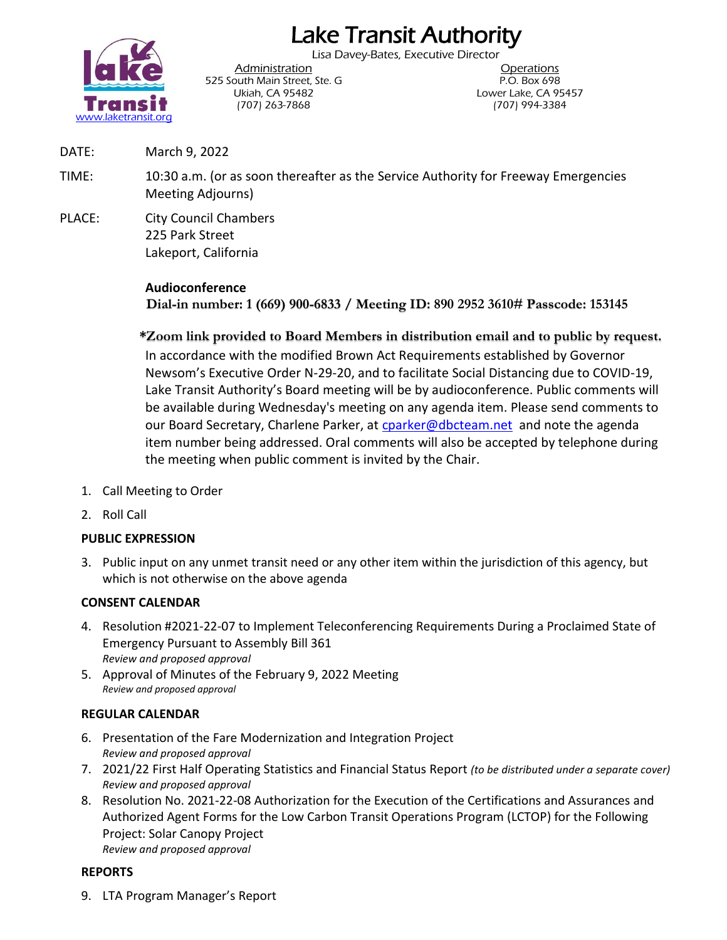# Lake Transit Authority

Lisa Davey-Bates, Executive Director



525 South Main Street, Ste. G P.O. Box 698 (707) 263-7868 (707) 994-3384

Administration **Administration** Ukiah, CA 95482 Lower Lake, CA 95457

- DATE: March 9, 2022
- TIME: 10:30 a.m. (or as soon thereafter as the Service Authority for Freeway Emergencies Meeting Adjourns)
- PLACE: City Council Chambers 225 Park Street Lakeport, California

# **Audioconference**

**Dial-in number: 1 (669) 900-6833 / Meeting ID: 890 2952 3610# Passcode: 153145**

**\*Zoom link provided to Board Members in distribution email and to public by request.** In accordance with the modified Brown Act Requirements established by Governor Newsom's Executive Order N-29-20, and to facilitate Social Distancing due to COVID-19, Lake Transit Authority's Board meeting will be by audioconference. Public comments will be available during Wednesday's meeting on any agenda item. Please send comments to our Board Secretary, Charlene Parker, at [cparker@dbcteam.net](mailto:cparker@dbcteam.net) and note the agenda item number being addressed. Oral comments will also be accepted by telephone during the meeting when public comment is invited by the Chair.

- 1. Call Meeting to Order
- 2. Roll Call

# **PUBLIC EXPRESSION**

3. Public input on any unmet transit need or any other item within the jurisdiction of this agency, but which is not otherwise on the above agenda

# **CONSENT CALENDAR**

- 4. Resolution #2021-22-07 to Implement Teleconferencing Requirements During a Proclaimed State of Emergency Pursuant to Assembly Bill 361 *Review and proposed approval*
- 5. Approval of Minutes of the February 9, 2022 Meeting *Review and proposed approval*

# **REGULAR CALENDAR**

- 6. Presentation of the Fare Modernization and Integration Project *Review and proposed approval*
- 7. 2021/22 First Half Operating Statistics and Financial Status Report *(to be distributed under a separate cover) Review and proposed approval*
- 8. Resolution No. 2021-22-08 Authorization for the Execution of the Certifications and Assurances and Authorized Agent Forms for the Low Carbon Transit Operations Program (LCTOP) for the Following Project: Solar Canopy Project *Review and proposed approval*

# **REPORTS**

9. LTA Program Manager's Report